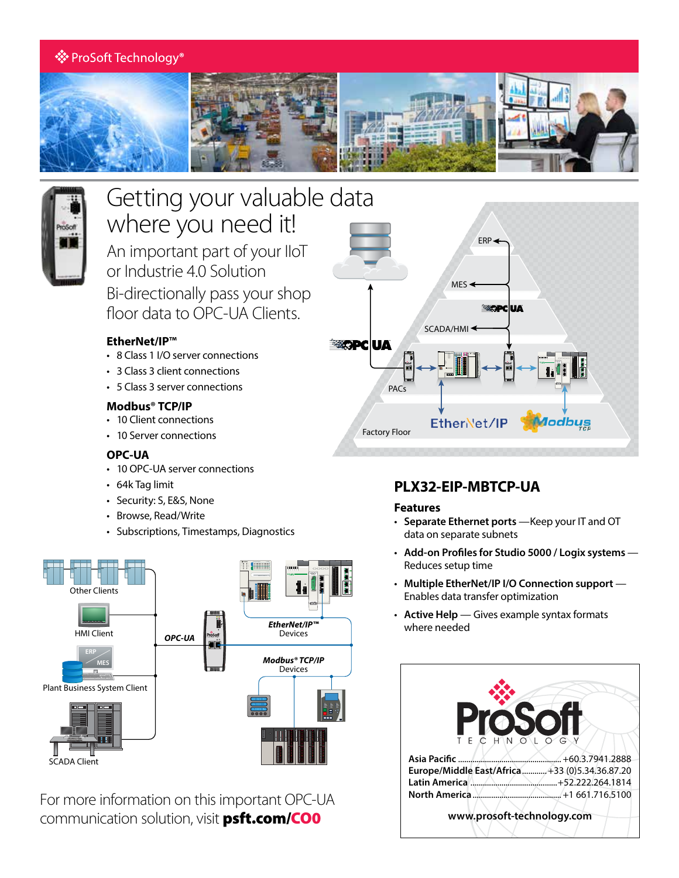## ※ ProSoft Technology®





# Getting your valuable data where you need it!

An important part of your IIoT or Industrie 4.0 Solution Bi-directionally pass your shop floor data to OPC-UA Clients.

### **EtherNet/IP™**

- 8 Class 1 I/O server connections
- 3 Class 3 client connections
- 5 Class 3 server connections

#### **Modbus® TCP/IP**

- 10 Client connections
- 10 Server connections

#### **OPC-UA**

- 10 OPC-UA server connections
- 64k Tag limit
- Security: S, E&S, None
- Browse, Read/Write
- Subscriptions, Timestamps, Diagnostics



For more information on this important OPC-UA communication solution, visit **[psft.com/CO0](http://psft.com/CO0)** 



## **PLX32-EIP-MBTCP-UA**

#### **Features**

- **Separate Ethernet ports** —Keep your IT and OT data on separate subnets
- **Add-on Profiles for Studio 5000 / Logix systems**  Reduces setup time
- **Multiple EtherNet/IP I/O Connection support** Enables data transfer optimization
- **Active Help** Gives example syntax formats where needed